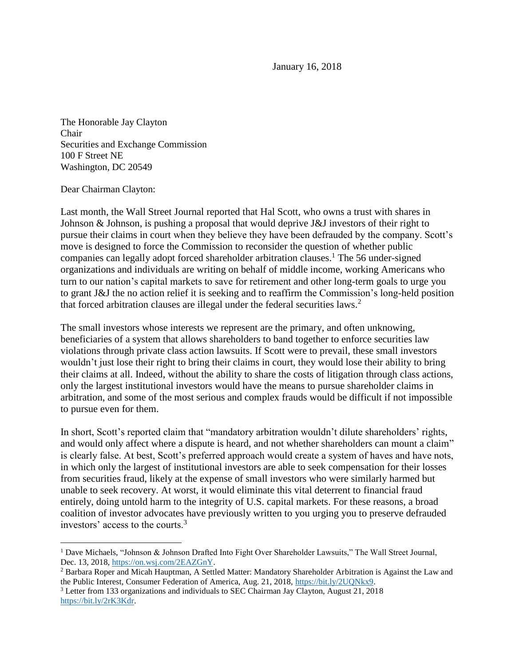January 16, 2018

The Honorable Jay Clayton Chair Securities and Exchange Commission 100 F Street NE Washington, DC 20549

## Dear Chairman Clayton:

 $\overline{a}$ 

Last month, the Wall Street Journal reported that Hal Scott, who owns a trust with shares in Johnson & Johnson, is pushing a proposal that would deprive J&J investors of their right to pursue their claims in court when they believe they have been defrauded by the company. Scott's move is designed to force the Commission to reconsider the question of whether public companies can legally adopt forced shareholder arbitration clauses.<sup>1</sup> The 56 under-signed organizations and individuals are writing on behalf of middle income, working Americans who turn to our nation's capital markets to save for retirement and other long-term goals to urge you to grant J&J the no action relief it is seeking and to reaffirm the Commission's long-held position that forced arbitration clauses are illegal under the federal securities laws.<sup>2</sup>

The small investors whose interests we represent are the primary, and often unknowing, beneficiaries of a system that allows shareholders to band together to enforce securities law violations through private class action lawsuits. If Scott were to prevail, these small investors wouldn't just lose their right to bring their claims in court, they would lose their ability to bring their claims at all. Indeed, without the ability to share the costs of litigation through class actions, only the largest institutional investors would have the means to pursue shareholder claims in arbitration, and some of the most serious and complex frauds would be difficult if not impossible to pursue even for them.

In short, Scott's reported claim that "mandatory arbitration wouldn't dilute shareholders' rights, and would only affect where a dispute is heard, and not whether shareholders can mount a claim" is clearly false. At best, Scott's preferred approach would create a system of haves and have nots, in which only the largest of institutional investors are able to seek compensation for their losses from securities fraud, likely at the expense of small investors who were similarly harmed but unable to seek recovery. At worst, it would eliminate this vital deterrent to financial fraud entirely, doing untold harm to the integrity of U.S. capital markets. For these reasons, a broad coalition of investor advocates have previously written to you urging you to preserve defrauded investors' access to the courts.<sup>3</sup>

<sup>1</sup> Dave Michaels, "Johnson & Johnson Drafted Into Fight Over Shareholder Lawsuits," The Wall Street Journal, Dec. 13, 2018, [https://on.wsj.com/2EAZGnY.](https://on.wsj.com/2EAZGnY)

<sup>2</sup> Barbara Roper and Micah Hauptman, A Settled Matter: Mandatory Shareholder Arbitration is Against the Law and the Public Interest, Consumer Federation of America, Aug. 21, 2018, [https://bit.ly/2UQNkx9.](https://bit.ly/2UQNkx9)

<sup>3</sup> Letter from 133 organizations and individuals to SEC Chairman Jay Clayton, August 21, 2018 [https://bit.ly/2rK3Kdr.](https://bit.ly/2rK3Kdr)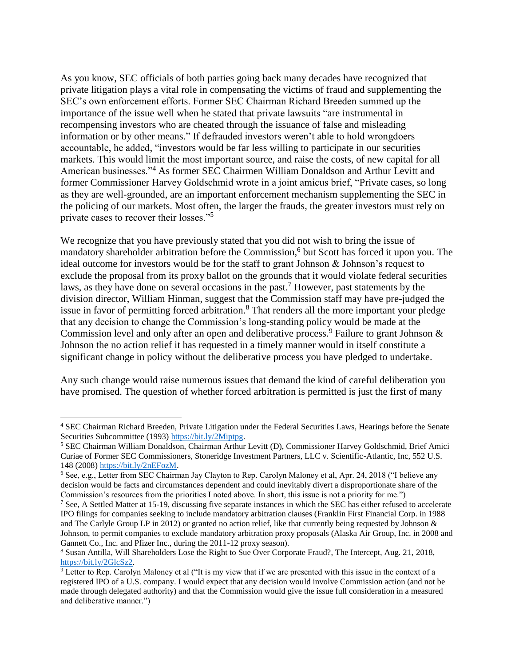As you know, SEC officials of both parties going back many decades have recognized that private litigation plays a vital role in compensating the victims of fraud and supplementing the SEC's own enforcement efforts. Former SEC Chairman Richard Breeden summed up the importance of the issue well when he stated that private lawsuits "are instrumental in recompensing investors who are cheated through the issuance of false and misleading information or by other means." If defrauded investors weren't able to hold wrongdoers accountable, he added, "investors would be far less willing to participate in our securities markets. This would limit the most important source, and raise the costs, of new capital for all American businesses."<sup>4</sup> As former SEC Chairmen William Donaldson and Arthur Levitt and former Commissioner Harvey Goldschmid wrote in a joint amicus brief, "Private cases, so long as they are well-grounded, are an important enforcement mechanism supplementing the SEC in the policing of our markets. Most often, the larger the frauds, the greater investors must rely on private cases to recover their losses."<sup>5</sup>

We recognize that you have previously stated that you did not wish to bring the issue of mandatory shareholder arbitration before the Commission,<sup>6</sup> but Scott has forced it upon you. The ideal outcome for investors would be for the staff to grant Johnson & Johnson's request to exclude the proposal from its proxy ballot on the grounds that it would violate federal securities laws, as they have done on several occasions in the past.<sup>7</sup> However, past statements by the division director, William Hinman, suggest that the Commission staff may have pre-judged the issue in favor of permitting forced arbitration.<sup>8</sup> That renders all the more important your pledge that any decision to change the Commission's long-standing policy would be made at the Commission level and only after an open and deliberative process.<sup>9</sup> Failure to grant Johnson  $\&$ Johnson the no action relief it has requested in a timely manner would in itself constitute a significant change in policy without the deliberative process you have pledged to undertake.

Any such change would raise numerous issues that demand the kind of careful deliberation you have promised. The question of whether forced arbitration is permitted is just the first of many

 $\overline{a}$ 

<sup>4</sup> SEC Chairman Richard Breeden, Private Litigation under the Federal Securities Laws, Hearings before the Senate Securities Subcommittee (1993) [https://bit.ly/2Miptpg.](https://bit.ly/2Miptpg)

<sup>5</sup> SEC Chairman William Donaldson, Chairman Arthur Levitt (D), Commissioner Harvey Goldschmid, Brief Amici Curiae of Former SEC Commissioners, Stoneridge Investment Partners, LLC v. Scientific-Atlantic, Inc, 552 U.S. 148 (2008[\) https://bit.ly/2nEFozM.](https://bit.ly/2nEFozM)

<sup>6</sup> See, e.g., Letter from SEC Chairman Jay Clayton to Rep. Carolyn Maloney et al, Apr. 24, 2018 ("I believe any decision would be facts and circumstances dependent and could inevitably divert a disproportionate share of the Commission's resources from the priorities I noted above. In short, this issue is not a priority for me.")

<sup>&</sup>lt;sup>7</sup> See, A Settled Matter at 15-19, discussing five separate instances in which the SEC has either refused to accelerate IPO filings for companies seeking to include mandatory arbitration clauses (Franklin First Financial Corp. in 1988 and The Carlyle Group LP in 2012) or granted no action relief, like that currently being requested by Johnson & Johnson, to permit companies to exclude mandatory arbitration proxy proposals (Alaska Air Group, Inc. in 2008 and Gannett Co., Inc. and Pfizer Inc., during the 2011-12 proxy season).

<sup>8</sup> Susan Antilla, Will Shareholders Lose the Right to Sue Over Corporate Fraud?, The Intercept, Aug. 21, 2018, [https://bit.ly/2GlcSz2.](https://bit.ly/2GlcSz2)

<sup>9</sup> Letter to Rep. Carolyn Maloney et al ("It is my view that if we are presented with this issue in the context of a registered IPO of a U.S. company. I would expect that any decision would involve Commission action (and not be made through delegated authority) and that the Commission would give the issue full consideration in a measured and deliberative manner.")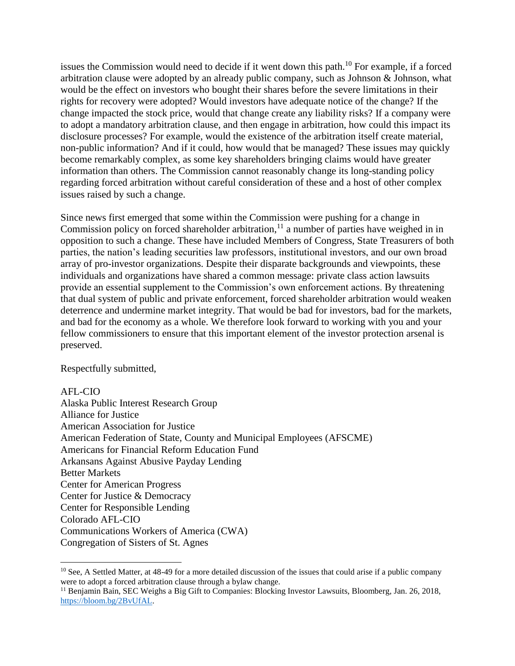issues the Commission would need to decide if it went down this path.<sup>10</sup> For example, if a forced arbitration clause were adopted by an already public company, such as Johnson & Johnson, what would be the effect on investors who bought their shares before the severe limitations in their rights for recovery were adopted? Would investors have adequate notice of the change? If the change impacted the stock price, would that change create any liability risks? If a company were to adopt a mandatory arbitration clause, and then engage in arbitration, how could this impact its disclosure processes? For example, would the existence of the arbitration itself create material, non-public information? And if it could, how would that be managed? These issues may quickly become remarkably complex, as some key shareholders bringing claims would have greater information than others. The Commission cannot reasonably change its long-standing policy regarding forced arbitration without careful consideration of these and a host of other complex issues raised by such a change.

Since news first emerged that some within the Commission were pushing for a change in Commission policy on forced shareholder arbitration,<sup>11</sup> a number of parties have weighed in in opposition to such a change. These have included Members of Congress, State Treasurers of both parties, the nation's leading securities law professors, institutional investors, and our own broad array of pro-investor organizations. Despite their disparate backgrounds and viewpoints, these individuals and organizations have shared a common message: private class action lawsuits provide an essential supplement to the Commission's own enforcement actions. By threatening that dual system of public and private enforcement, forced shareholder arbitration would weaken deterrence and undermine market integrity. That would be bad for investors, bad for the markets, and bad for the economy as a whole. We therefore look forward to working with you and your fellow commissioners to ensure that this important element of the investor protection arsenal is preserved.

Respectfully submitted,

## AFL-CIO

 $\overline{a}$ 

Alaska Public Interest Research Group Alliance for Justice American Association for Justice American Federation of State, County and Municipal Employees (AFSCME) Americans for Financial Reform Education Fund Arkansans Against Abusive Payday Lending Better Markets Center for American Progress Center for Justice & Democracy Center for Responsible Lending Colorado AFL-CIO Communications Workers of America (CWA) Congregation of Sisters of St. Agnes

 $10$  See, A Settled Matter, at 48-49 for a more detailed discussion of the issues that could arise if a public company were to adopt a forced arbitration clause through a bylaw change.

<sup>&</sup>lt;sup>11</sup> Benjamin Bain, SEC Weighs a Big Gift to Companies: Blocking Investor Lawsuits, Bloomberg, Jan. 26, 2018, [https://bloom.bg/2BvUfAL.](https://bloom.bg/2BvUfAL)